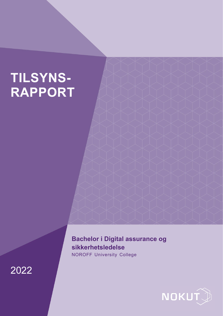# **TILSYNS-RAPPORT**

# **Bachelor i Digital assurance og sikkerhetsledelse**

NOROFF University College



2022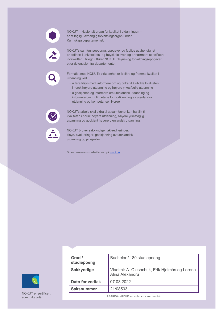

NOKUT – Nasjonalt organ for kvalitet i utdanningen – er et faglig uavhengig forvaltningsorgan under Kunnskapsdepartementet.

NOKUTs samfunnsoppdrag, oppgaver og faglige uavhengighet er definert i universitets- og høyskoleloven og er nærmere spesifisert i forskrifter. I tillegg utfører NOKUT tilsyns- og forvaltningsoppgaver etter delegasjon fra departementet.

Formålet med NOKUTs virksomhet er å sikre og fremme kvalitet i utdanning ved

- å føre tilsyn med, informere om og bidra til å utvikle kvaliteten i norsk høyere utdanning og høyere yrkesfaglig utdanning
- å godkjenne og informere om utenlandsk utdanning og informere om mulighetene for godkjenning av utenlandsk utdanning og kompetanse i Norge

NOKUTs arbeid skal bidra til at samfunnet kan ha tillit til kvaliteten i norsk høyere utdanning, høyere yrkesfaglig utdanning og godkjent høyere utenlandsk utdanning.



NOKUT bruker sakkyndige i akkrediteringer, tilsyn, evalueringer, godkjenning av utenlandsk utdanning og prosjekter.

Du kan lese mer om arbeidet vårt på [nokut.no.](https://www.nokut.no/)

NOKUT er sertifisert<br>som miljøfyrtårn

| Grad /<br>studiepoeng  | Bachelor / 180 studiepoeng                                       |
|------------------------|------------------------------------------------------------------|
| <b>Sakkyndige</b>      | Vladimir A. Oleshchuk, Erik Hjelmås og Lorena<br>Alina Alexandru |
| <b>Dato for vedtak</b> | 07.03.2022                                                       |
| <b>Saksnummer</b>      | 21/08503                                                         |
|                        |                                                                  |

 $@$  **NOKUT** Oppgi NOKUT som opphav ved bruk av materiale.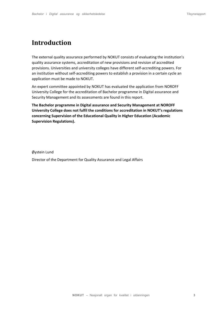# **Introduction**

The external quality assurance performed by NOKUT consists of evaluating the institution's quality assurance systems, accreditation of new provisions and revision of accredited provisions. Universities and university colleges have different self-accrediting powers. For an institution without self-accrediting powers to establish a provision in a certain cycle an application must be made to NOKUT.

An expert committee appointed by NOKUT has evaluated the application from NOROFF University College for the accreditation of Bachelor programme in Digital assurance and Security Management and its assessments are found in this report.

**The Bachelor programme in Digital assurance and Security Management at NOROFF University College does not fulfil the conditions for accreditation in NOKUT's regulations concerning Supervision of the Educational Quality in Higher Education (Academic Supervision Regulations).**

Øystein Lund

Director of the Department for Quality Assurance and Legal Affairs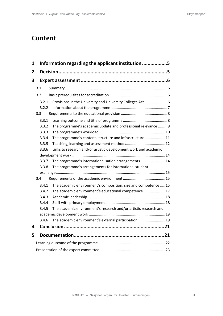# **Content**

| 1 |       | Information regarding the applicant institution 5                |  |  |  |
|---|-------|------------------------------------------------------------------|--|--|--|
| 2 |       |                                                                  |  |  |  |
| 3 |       |                                                                  |  |  |  |
|   | 3.1   |                                                                  |  |  |  |
|   | 3.2   |                                                                  |  |  |  |
|   | 3.2.1 |                                                                  |  |  |  |
|   | 3.2.2 |                                                                  |  |  |  |
|   | 3.3   |                                                                  |  |  |  |
|   | 3.3.1 |                                                                  |  |  |  |
|   | 3.3.2 | The programme's academic update and professional relevance  9    |  |  |  |
|   | 3.3.3 |                                                                  |  |  |  |
|   | 3.3.4 | The programme's content, structure and infrastructure11          |  |  |  |
|   | 3.3.5 |                                                                  |  |  |  |
|   | 3.3.6 | Links to research and/or artistic development work and academic  |  |  |  |
|   |       |                                                                  |  |  |  |
|   | 3.3.7 | The programme's internationalisation arrangements  14            |  |  |  |
|   | 3.3.8 | The programme's arrangements for international student           |  |  |  |
|   |       |                                                                  |  |  |  |
|   | 3.4   |                                                                  |  |  |  |
|   | 3.4.1 | The academic environment's composition, size and competence 15   |  |  |  |
|   | 3.4.2 | The academic environment's educational competence 17             |  |  |  |
|   | 3.4.3 |                                                                  |  |  |  |
|   | 3.4.4 |                                                                  |  |  |  |
|   | 3.4.5 | The academic environment's research and/or artistic research and |  |  |  |
|   |       |                                                                  |  |  |  |
|   | 3.4.6 | The academic environment's external participation  19            |  |  |  |
| 4 |       |                                                                  |  |  |  |
| 5 |       |                                                                  |  |  |  |
|   |       |                                                                  |  |  |  |
|   |       |                                                                  |  |  |  |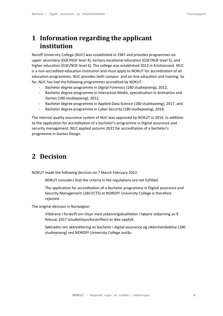# <span id="page-4-0"></span>**1 Information regarding the applicant institution**

Noroff University College (NUC) was established in 1987 and provides programmes on upper secondary (EQF/NQF level 4), tertiary vocational education (EQF/NQF level 5), and higher education (EQF/NQF level 6). The college was established 2012 in Kristiansand. NUC is a non-accredited education institution and must apply to NOKUT for accreditation of all education programmes. NUC provides both campus- and on-line education and training. So far, NUC has had the following programmes accredited by NOKUT:

- Bachelor degree programme in Digital Forensics (180 studiepoeng), 2012,
- Bachelor degree programme in Interactive Media, specialisation in Animation and Games (180 studiepoeng), 2012,
- Bachelor degree programme in Applied Data Science (180 studiepoeng), 2017, and
- Bachelor degree programme in Cyber Security (180 studiepoeng), 2018.

The internal quality assurance system of NUC was approved by NOKUT in 2016. In addition to the application for accreditation of a bachelor's programme in Digital assurance and security management, NUC applied autumn 2021 for accreditation of a bachelor's programme in Games Design.

# <span id="page-4-1"></span>**2 Decision**

NOKUT made the following decision on 7 March February 2022:

NOKUT considers that the criteria in the regulations are not fulfilled.

The application for accreditation of a Bachelor programme in Digital assurance and Security Management (180 ECTS) at NOROFF University College is therefore rejected.

The original decision in Norwegian:

Vilkårene i forskrift om tilsyn med utdanningskvaliteten i høyere utdanning av 9. februar 2017 (studietilsynsforskriften) er ikke oppfylt.

Søknaden om akkreditering av bachelor i digital assurance og sikkerhetsledelse (180 studiepoeng) ved NOROFF University College avslås.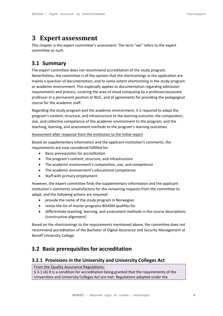# <span id="page-5-0"></span>**3 Expert assessment**

This chapter is the expert committee's assessment. The term "we" refers to the expert committee as such.

# <span id="page-5-1"></span>**3.1 Summary**

The expert committee does not recommend accreditation of the study program. Nevertheless, the committee is of the opinion that the shortcomings in the application are mainly a question of documentation, and to some extent shortcoming in the study program or academic environment. This especially applies to documentation regarding admission requirements and process, covering the area of cloud computing by a professor/associate professor in a permanent position at NUC, and of agreements for providing the pedagogical course for the academic staff.

Regarding the study program and the academic environment, it is required to adapt the program's content, structure, and infrastructure to the learning outcome; the composition, size, and collective competence of the academic environment to the program, and the teaching, learning, and assessment methods to the program's learning outcomes.

#### Assessment after response from the institution to the initial report

Based on supplementary information and the applicant institution's comments, the requirements are now considered fulfilled for:

- Basic prerequisites for accreditation
- The program's content, structure, and infrastructure
- The academic environment's composition, size, and competence
- The academic environment's educational competence
- Staff with primary employment

However, the expert committee finds the supplementary information and the applicant institution's comments unsatisfactory for the remaining requests from the committee to adapt, and the following actions are required:

- provide the name of the study program in Norwegian
- revise the list of master programs BDASM qualifies for
- differentiate teaching, learning, and assessment methods in the course descriptions (constructive alignment)

Based on the shortcomings to the requirements mentioned above, the committee does not recommend accreditation of the Bachelor of Digital Assurance and Security Management at Noroff University College.

# <span id="page-5-2"></span>**3.2 Basic prerequisites for accreditation**

#### <span id="page-5-3"></span>**3.2.1 Provisions in the University and University Colleges Act**

#### From the Quality Assurance Regulations:

§ 3-1 (4) It is a condition for accreditation being granted that the requirements of the Universities and University Colleges Act are met. Regulations adopted under the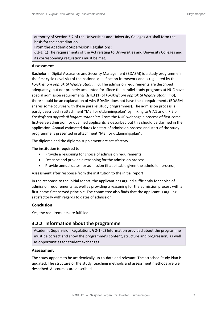authority of Section 3-2 of the [Universities and University Colleges Act s](http://www.lovdata.no/pro%23reference/lov/2005-04-01-15/%C2%A73-2)hall form the basis for the accreditation.

From the Academic Supervision Regulations:

§ 2-1 (1) The requirements of the Act relating to Universities and University Colleges and its corresponding regulations must be met.

#### **Assessment**

Bachelor in Digital Assurance and Security Management (BDASM) is a study programme in the first cycle (level six) of the national qualification framework and is regulated by the *Forskrift om opptak til høgare utdanning*. The admission requirements are described adequately, but not properly accounted for. Since the parallel study programs at NUC have special admission requirements (§ 4.3 (1) of *Forskrift om opptak til høgare utdanning*), there should be an explanation of why BDASM does not have these requirements (BDASM shares some courses with these parallel study programmes). The admission process is partly described in attachment "Mal for utdanningsplan" by linking to § 7.1 and § 7.2 of *Forskrift om opptak til høgare utdanning*. From the NUC webpage a process of first-comefirst-serve admission for qualified applicants is described but this should be clarified in the application. Annual estimated dates for start of admission process and start of the study programme is presented in attachment "Mal for utdanningsplan".

The diploma and the diploma supplement are satisfactory.

The institution is required to:

- Provide a reasoning for choice of admission requirements
- Describe and provide a reasoning for the admission process
- Provide annual dates for admission (if applicable given the admission process)

#### Assessment after response from the institution to the initial report

In the response to the initial report, the applicant has argued sufficiently for choice of admission requirements, as well as providing a reasoning for the admission process with a first-come-first-served principle. The committee also finds that the applicant is arguing satisfactorily with regards to dates of admission.

#### **Conclusion**

Yes, the requirements are fulfilled.

### <span id="page-6-0"></span>**3.2.2 Information about the programme**

Academic Supervision Regulations § 2-1 (2) Information provided about the programme must be correct and show the programme's content, structure and progression, as well as opportunities for student exchanges.

#### **Assessment**

The study appears to be academically up-to-date and relevant. The attached Study Plan is updated. The structure of the study, teaching methods and assessment methods are well described. All courses are described.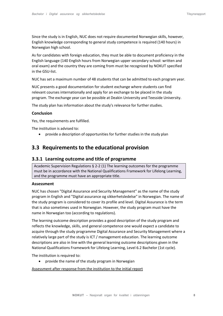Since the study is in English, NUC does not require documented Norwegian skills, however, English knowledge corresponding to general study competence is required (140 hours) in Norwegian high school.

As for candidates with foreign education, they must be able to document proficiency in the English language (140 English hours from Norwegian upper secondary school: written and oral exam) and the country they are coming from must be recognized by NOKUT specified in the GSU-list.

NUC has set a maximum number of 48 students that can be admitted to each program year.

NUC presents a good documentation for student exchange where students can find relevant courses internationally and apply for an exchange to be placed in the study program. The exchange year can be possible at Deakin University and Teesside University.

The study plan has information about the study's relevance for further studies.

#### **Conclusion**

Yes, the requirements are fulfilled.

The institution is advised to:

• provide a description of opportunities for further studies in the study plan

### <span id="page-7-0"></span>**3.3 Requirements to the educational provision**

#### <span id="page-7-1"></span>**3.3.1 Learning outcome and title of programme**

Academic Supervision Regulations § 2-2 (1) The learning outcomes for the programme must be in accordance with the National Qualifications Framework for Lifelong Learning, and the programme must have an appropriate title.

#### **Assessment**

NUC has chosen "Digital Assurance and Security Management" as the name of the study program in English and "Digital assurance og sikkerhetsledelse" in Norwegian. The name of the study program is considered to cover its profile and level. Digital Assurance is the term that is also sometimes used in Norwegian. However, the study program must have the name in Norwegian too (according to regulations).

The learning outcome description provides a good description of the study program and reflects the knowledge, skills, and general competence one would expect a candidate to acquire through the study programme Digital Assurance and Security Management where a relatively large part of the study is ICT / management education. The learning outcome descriptions are also in line with the general learning outcome descriptions given in the National Qualifications Framework for Lifelong Learning, Level 6.2 Bachelor (1st cycle).

The institution is required to:

• provide the name of the study program in Norwegian

Assessment after response from the institution to the initial report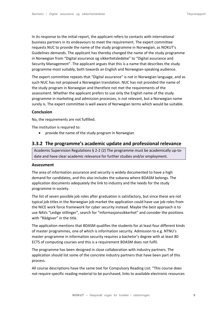In its response to the initial report, the applicant refers to contacts with international business partners in its endeavours to meet the requirement. The expert committee requests NUC to provide the name of the study programme in Norwegian, as NOKUT's Guidelines demands. The applicant has thereby changed the name of the study programme in Norwegian from "Digital assurance og sikkerhetsledelse" to "Digital assurance and Security Management". The applicant argues that this is a name that describes the study programme most suitably, both towards an English and Norwegian-speaking audience.

The expert committee repeats that "Digital assurance" is not in Norwegian language, and as such NUC has not proposed a Norwegian translation. NUC has not provided the name of the study program in Norwegian and therefore not met the requirements of the assessment. Whether the applicant prefers to use only the English name of the study programme in marketing and admission processes, is not relevant, but a Norwegian name surely is. The expert committee is well aware of Norwegian terms which would be suitable.

#### **Conclusion**

No, the requirements are not fulfilled.

The institution is required to:

<span id="page-8-0"></span>• provide the name of the study program in Norwegian

#### **3.3.2 The programme's academic update and professional relevance**

Academic Supervision Regulations § 2-2 (2) The programme must be academically up-todate and have clear academic relevance for further studies and/or employment.

#### **Assessment**

The area of information assurance and security is widely documented to have a high demand for candidates, and this also includes the subarea where BDASM belongs. The application documents adequately the link to industry and the needs for the study programme in society.

The list of seven possible job roles after graduation is satisfactory, but since these are not typical job titles in the Norwegian job market the application could have use job roles from the NICE work force framework for cyber security instead. Maybe the best approach is to use NAVs "Ledige stillinger", search for "informasjonssikkerhet" and consider the positions with "Rådgiver" in the title.

The application mentions that BDASM qualifies the students for at least four different kinds of master programmes, one of which is information security. Admission to e.g. NTNU's master programme in information security requires a bachelor's degree with at least 80 ECTS of computing courses and this is a requirement BDASM does not fulfil.

The programme has been designed in close collaboration with industry partners. The application should list some of the concrete industry partners that have been part of this process.

All course descriptions have the same text for Compulsory Reading List: "This course does not require specific reading material to be purchased, links to available electronic resources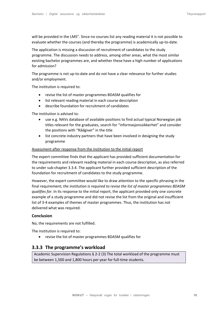will be provided in the LMS". Since no courses list any reading material it is not possible to evaluate whether the courses (and thereby the programme) is academically up-to-date.

The application is missing a discussion of recruitment of candidates to the study programme. The discussion needs to address, among other areas, what the most similar existing bachelor programmes are, and whether these have a high number of applications for admission?

The programme is not up-to-date and do not have a clear relevance for further studies and/or employment.

The institution is required to:

- revise the list of master programmes BDASM qualifies for
- list relevant reading material in each course description
- describe foundation for recruitment of candidates

The institution is advised to:

- use e.g. NAVs database of available positions to find actual typical Norwegian job titles relevant for the graduates, search for "informasjonssikkerhet" and consider the positions with "Rådgiver" in the title
- list concrete industry partners that have been involved in designing the study programme

#### Assessment after response from the institution to the initial report

The expert committee finds that the applicant has provided sufficient documentation for the requirements and relevant reading material in each course description, as also referred to under sub-chapter 3.3.4. The applicant further provided sufficient description of the foundation for recruitment of candidates to the study programme.

However, the expert committee would like to draw attention to the specific phrasing in the final requirement; *the institution is required to revise the list of master programmes BDASM qualifies for*. In its response to the initial report, the applicant provided only one concrete example of a study programme and did not revise the list from the original and insufficient list of 3-4 examples of themes of master programmes. Thus, the institution has not delivered what was required.

#### **Conclusion**

No, the requirements are not fulfilled.

The institution is required to:

<span id="page-9-0"></span>• revise the list of master programmes BDASM qualifies for

### **3.3.3 The programme's workload**

Academic Supervision Regulations § 2-2 (3) The total workload of the programme must be between 1,500 and 1,800 hours per year for full-time students.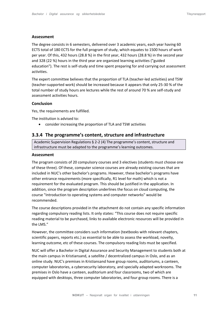#### **Assessment**

The degree consists in 6 semesters, delivered over 3 academic years, each year having 60 ECTS total of 180 ECTS for the full program of study, which equates to 1500 hours of work per year. Of this, 432 hours (28.8 %) in the first year, 432 hours (28.8 %) in the second year and 328 (22 %) hours in the third year are organized learning activities ("guided education"). The rest is self-study and time spent preparing for and carrying out assessment activities.

The expert committee believes that the proportion of TLA (teacher-led activities) and TSW (teacher-supported work) should be increased because it appears that only 25-30 % of the total number of study hours are lectures while the rest of around 70 % are self-study and assessment activities hours.

#### **Conclusion**

Yes, the requirements are fulfilled.

The institution is advised to:

<span id="page-10-0"></span>• consider increasing the proportion of TLA and TSW activities

### **3.3.4 The programme's content, structure and infrastructure**

Academic Supervision Regulations § 2-2 (4) The programme's content, structure and infrastructure must be adapted to the programme's learning outcomes.

#### **Assessment**

The program consists of 20 compulsory courses and 3 electives (students must choose one of these three). Of these, computer science courses are already existing courses that are included in NUC's other bachelor's programs. However, these bachelor's programs have other entrance requirements (more specifically, R1 level for math) which is not a requirement for the evaluated program. This should be justified in the application. In addition, since the program description underlines the focus on cloud computing, the course "Introduction to operating systems and computer networks" would be recommended.

The course descriptions provided in the attachment do not contain any specific information regarding compulsory reading lists. It only states: "This course does not require specific reading material to be purchased, links to available electronic resources will be provided in the LMS."

However, the committee considers such information (textbooks with relevant chapters, scientific papers, reports etc.) as essential to be able to assess the workload, novelty, learning outcome, etc of these courses. The compulsory reading lists must be specified.

NUC will offer a Bachelor in Digital Assurance and Security Management to students both at the main campus in Kristiansand, a satellite / decentralized campus in Oslo, and as an online study. NUC's premises in Kristiansand have group rooms, auditoriums, a canteen, computer laboratories, a cybersecurity laboratory, and specially adapted workrooms. The premises in Oslo have a canteen, auditorium and four classrooms, two of which are equipped with desktops, three computer laboratories, and four group rooms. There is a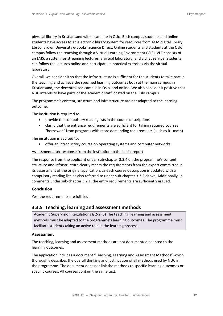physical library in Kristiansand with a satellite in Oslo. Both campus students and online students have access to an electronic library system for resources from ACM digital library, Ebsco, Brown University e-books, Science Direct. Online students and students at the Oslo campus follow the teaching through a Virtual Learning Environment (VLE). VLE consists of an LMS, a system for streaming lectures, a virtual laboratory, and a chat service. Students can follow the lectures online and participate in practical exercises via the virtual laboratory.

Overall, we consider it so that the infrastructure is sufficient for the students to take part in the teaching and achieve the specified learning outcomes both at the main campus in Kristiansand, the decentralized campus in Oslo, and online. We also consider it positive that NUC intends to have parts of the academic staff located on the Oslo campus.

The programme's content, structure and infrastructure are not adapted to the learning outcome.

The institution is required to:

- provide the compulsory reading lists in the course descriptions
- clarify that the entrance requirements are sufficient for taking required courses "borrowed" from programs with more demanding requirements (such as R1 math)

The institution is advised to:

• offer an introductory course on operating systems and computer networks

#### Assessment after response from the institution to the initial report

The response from the applicant under sub-chapter 3.3.4 on the programme's content, structure and infrastructure clearly meets the requirements from the expert committee in its assessment of the original application, as each course description is updated with a compulsory reading list, as also referred to under sub-chapter 3.3.2 above. Additionally, in comments under sub-chapter 3.2.1, the entry requirements are sufficiently argued.

#### **Conclusion**

Yes, the requirements are fulfilled.

#### <span id="page-11-0"></span>**3.3.5 Teaching, learning and assessment methods**

Academic Supervision Regulations § 2-2 (5) The teaching, learning and assessment methods must be adapted to the programme's learning outcomes. The programme must facilitate students taking an active role in the learning process.

#### **Assessment**

The teaching, learning and assessment methods are not documented adapted to the learning outcomes.

The application includes a document "Teaching, Learning and Assessment Methods" which thoroughly describes the overall thinking and justification of all methods used by NUC in the programme. The document does not link the methods to specific learning outcomes or specific courses. All courses contain the same text: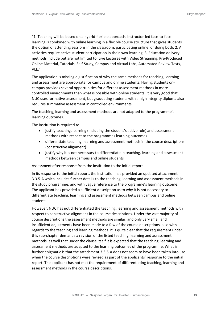"1. Teaching will be based on a hybrid-flexible approach. Instructor-led face-to-face learning is combined with online learning in a flexible course structure that gives students the option of attending sessions in the classroom, participating online, or doing both. 2. All activities require active student participation in their own learning. 3. Education delivery methods include but are not limited to: Live Lectures with Video Streaming, Pre-Produced Online Material, Tutorials, Self-Study, Campus and Virtual Labs, Automated Review Tests, VLE."

The application is missing a justification of why the same methods for teaching, learning and assessment are appropriate for campus and online students. Having students oncampus provides several opportunities for different assessment methods in more controlled environments than what is possible with online students. It is very good that NUC uses formative assessment, but graduating students with a high integrity diploma also requires summative assessment in controlled environments.

The teaching, learning and assessment methods are not adapted to the programme's learning outcomes.

The institution is required to:

- justify teaching, learning (including the student's active role) and assessment methods with respect to the programmes learning outcomes
- differentiate teaching, learning and assessment methods in the course descriptions (constructive alignment)
- justify why it is not necessary to differentiate in teaching, learning and assessment methods between campus and online students

#### Assessment after response from the institution to the initial report

In its response to the initial report, the institution has provided an updated attachment 3.3.5-A which includes further details to the teaching, learning and assessment methods in the study programme, and with vague reference to the programme's learning outcome. The applicant has provided a sufficient description as to why it is not necessary to differentiate teaching, learning and assessment methods between campus and online students.

However, NUC has not differentiated the teaching, learning and assessment methods with respect to constructive alignment in the course descriptions. Under the vast majority of course descriptions the assessment methods are similar, and only very small and insufficient adjustments have been made to a few of the course descriptions, also with regards to the teaching and learning methods. It is quite clear that the requirement under this sub-chapter demands a revision of the listed teaching, learning and assessment methods, as well that under the clause itself it is expected that the teaching, learning and assessment methods are adapted to the learning outcomes of the programme. What is further enigmatic is that the attachment 3.3.5-A does not seem to have been taken into use when the course descriptions were revised as part of the applicants' response to the initial report. The applicant has not met the requirement of differentiating teaching, learning and assessment methods in the course descriptions.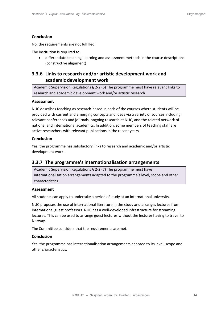#### **Conclusion**

No, the requirements are not fulfilled.

The institution is required to:

• differentiate teaching, learning and assessment methods in the course descriptions (constructive alignment)

### <span id="page-13-0"></span>**3.3.6 Links to research and/or artistic development work and academic development work**

Academic Supervision Regulations § 2-2 (6) The programme must have relevant links to research and academic development work and/or artistic research.

#### **Assessment**

NUC describes teaching as research-based in each of the courses where students will be provided with current and emerging concepts and ideas via a variety of sources including relevant conferences and journals, ongoing research at NUC, and the related network of national and international academics. In addition, some members of teaching staff are active researchers with relevant publications in the recent years.

#### **Conclusion**

Yes, the programme has satisfactory links to research and academic and/or artistic development work.

#### <span id="page-13-1"></span>**3.3.7 The programme's internationalisation arrangements**

Academic Supervision Regulations § 2-2 (7) The programme must have internationalisation arrangements adapted to the programme's level, scope and other characteristics.

#### **Assessment**

All students can apply to undertake a period of study at an international university.

NUC proposes the use of international literature in the study and arranges lectures from international guest professors. NUC has a well-developed infrastructure for streaming lectures. This can be used to arrange guest lectures without the lecturer having to travel to Norway.

The Committee considers that the requirements are met.

#### **Conclusion**

Yes, the programme has internationalisation arrangements adapted to its level, scope and other characteristics.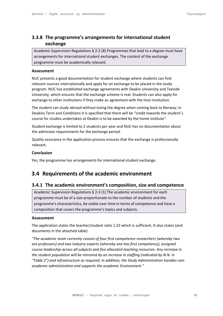### <span id="page-14-0"></span>**3.3.8 The programme's arrangements for international student exchange**

Academic Supervision Regulations § 2-2 (8) Programmes that lead to a degree must have arrangements for international student exchanges. The content of the exchange programme must be academically relevant.

#### **Assessment**

NUC presents a good documentation for student exchange where students can find relevant courses internationally and apply for an exchange to be placed in the study program. NUC has established exchange agreements with Deakin University and Teeside University, which ensures that the exchange scheme is real. Students can also apply for exchange to other institutions if they make an agreement with the host institution.

The student can study abroad without losing the degree when coming back to Norway; In Deakins Term and Conditions it is specified that there will be "credit towards the student`s course for studies undertaken at Deakin is to be awarded by the home institute".

Student exchange is limited to 2 students per year and NUC has no documentation about the admission requirements for the exchange period.

Quality assurance in the application process ensures that the exchange is professionally relevant.

#### **Conclusion**

Yes, the programme has arrangements for international student exchange.

### <span id="page-14-1"></span>**3.4 Requirements of the academic environment**

#### <span id="page-14-2"></span>**3.4.1 The academic environment's composition, size and competence**

Academic Supervision Regulations § 2-3 (1) The academic environment for each programme must be of a size proportionate to the number of students and the programme's characteristics, be stable over time in terms of competence and have a composition that covers the programme's topics and subjects.

#### **Assessment**

The application states the teacher/student ratio 1:22 which is sufficient. It also states (and documents in the attached table)

*"The academic team currently consist of four first competence researchers (whereby two are professors) and two industry experts (whereby one has first competency), assigned course leadership across all subjects and five allocated teaching resources. Any increase in the student population will be mirrored by an increase in staffing (indicated by N.N. in "Table 2") and infrastructure as required. In addition, the Study Administration handles nonacademic administration and supports the academic Environment."*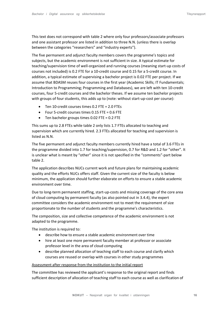This text does not correspond with table 2 where only four professors/associate professors and one assistant professor are listed in addition to three N.N. (unless there is overlap between the categories "researchers" and "industry experts").

The five permanent and adjunct faculty members covers the programme's topics and subjects, but the academic environment is not sufficient in size. A typical estimate for teaching/supervision time of well-organized and running courses (meaning start-up costs of courses not included) is 0.2 FTE for a 10-credit course and 0.15 for a 5-credit course. In addition, a typical estimate of supervising a bachelor project is 0.02 FTE per project. If we assume that BDASM reuses four courses in the first year (Academic Skills; IT Fundamentals; Introduction to Programming; Programming and Databases), we are left with ten 10-credit courses, four 5-credit courses and the bachelor theses. If we assume ten bachelor projects with groups of four students, this adds up to (note: without start-up-cost per course):

- Ten 10-credit courses times 0.2 FTE = 2.0 FTEs
- Four 5-credit courses times 0.15 FTE = 0.6 FTE
- Ten bachelor groups times 0.02 FTE = 0.2 FTE

This sums up to 2.8 FTEs while table 2 only lists 1.7 FTEs allocated to teaching and supervision which are currently hired. 2.3 FTEs allocated for teaching and supervision is listed as N.N.

The five permanent and adjunct faculty members currently hired have a total of 3.6 FTEs in the programme divided into 1.7 for teaching/supervision, 0.7 for R&D and 1.2 for "other". It is unclear what is meant by "other" since it is not specified in the "comments"-part below table 2.

The application describes NUCs current work and future plans for maintaining academic quality and the efforts NUCs offers staff. Given the current size of the faculty is below minimum, the application should further elaborate on efforts to ensure a stable academic environment over time.

Due to long-term permanent staffing, start-up-costs and missing coverage of the core area of cloud computing by permanent faculty (as also pointed out in 3.4.4), the expert committee considers the academic environment not to meet the requirement of size proportionate to the number of students and the programme's characteristics.

The composition, size and collective competence of the academic environment is not adapted to the programme.

The institution is required to:

- describe how to ensure a stable academic environment over time
- hire at least one more permanent faculty member at professor or associate professor level in the area of cloud computing
- describe planned allocation of teaching staff to each course and clarify which courses are reused or overlap with courses in other study programmes

#### Assessment after response from the institution to the initial report

The committee has reviewed the applicant's response to the original report and finds sufficient description of allocation of teaching staff to each course as well as clarification of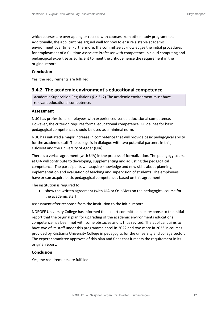which courses are overlapping or reused with courses from other study programmes. Additionally, the applicant has argued well for how to ensure a stable academic environment over time. Furthermore, the committee acknowledges the initial procedures for employment of a full time Associate Professor with competence in cloud computing and pedagogical expertise as sufficient to meet the critique hence the requirement in the original report.

#### **Conclusion**

Yes, the requirements are fulfilled.

#### <span id="page-16-0"></span>**3.4.2 The academic environment's educational competence**

Academic Supervision Regulations § 2-3 (2) The academic environment must have relevant educational competence.

#### **Assessment**

NUC has professional employees with experienced-based educational competence. However, the criterion requires formal educational competence. Guidelines for basic pedagogical competences should be used as a minimal norm.

NUC has initiated a major increase in competence that will provide basic pedagogical ability for the academic staff. The college is in dialogue with two potential partners in this, OsloMet and the University of Agder (UiA).

There is a verbal agreement (with UiA) in the process of formalization. The pedagogy course at UiA will contribute to developing, supplementing and adjusting the pedagogical competence. The participants will acquire knowledge and new skills about planning, implementation and evaluation of teaching and supervision of students. The employees have or can acquire basic pedagogical competences based on this agreement.

The institution is required to:

• show the written agreement (with UiA or OsloMet) on the pedagogical course for the academic staff

#### Assessment after response from the institution to the initial report

NOROFF University College has informed the expert committee in its response to the initial report that the original plan for upgrading of the academic environments educational competence has been met with some obstacles and is thus revised. The applicant aims to have two of its staff under this programme enrol in 2022 and two more in 2023 in courses provided by Kristiania University College in pedagogics for the university and college sector. The expert committee approves of this plan and finds that it meets the requirement in its original report.

#### **Conclusion**

Yes, the requirements are fulfilled.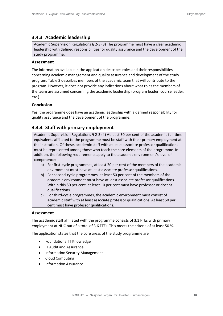### <span id="page-17-0"></span>**3.4.3 Academic leadership**

Academic Supervision Regulations § 2-3 (3) The programme must have a clear academic leadership with defined responsibilities for quality assurance and the development of the study programme.

#### **Assessment**

The information available in the application describes roles and their responsibilities concerning academic management and quality assurance and development of the study program. Table 3 describes members of the academic team that will contribute to the program. However, it does not provide any indications about what roles the members of the team are assumed concerning the academic leadership (program leader, course leader, etc.)

#### **Conclusion**

Yes, the programme does have an academic leadership with a defined responsibility for quality assurance and the development of the programme.

### <span id="page-17-1"></span>**3.4.4 Staff with primary employment**

Academic Supervision Regulations § 2-3 (4) At least 50 per cent of the academic full-time equivalents affiliated to the programme must be staff with their primary employment at the institution. Of these, academic staff with at least associate professor qualifications must be represented among those who teach the core elements of the programme. In addition, the following requirements apply to the academic environment's level of competence:

- a) For first-cycle programmes, at least 20 per cent of the members of the academic environment must have at least associate professor qualifications.
- b) For second-cycle programmes, at least 50 per cent of the members of the academic environment must have at least associate professor qualifications. Within this 50 per cent, at least 10 per cent must have professor or docent qualifications.
- c) For third-cycle programmes, the academic environment must consist of academic staff with at least associate professor qualifications. At least 50 per cent must have professor qualifications.

#### **Assessment**

The academic staff affiliated with the programme consists of 3.1 FTEs with primary employment at NUC out of a total of 3.6 FTEs. This meets the criteria of at least 50 %.

The application states that the core areas of the study programme are

- Foundational IT Knowledge
- IT Audit and Assurance
- Information Security Management
- Cloud Computing
- Information Assurance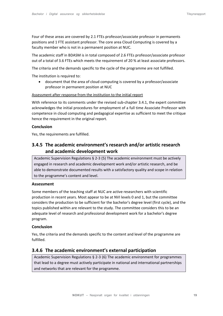Four of these areas are covered by 2.1 FTEs professor/associate professor in permanents positions and 1 FTE assistant professor. The core area Cloud Computing is covered by a faculty member who is not in a permanent position at NUC.

The academic staff in BDASM is in total composed of 2.6 FTEs professor/associate professor out of a total of 3.6 FTEs which meets the requirement of 20 % at least associate professors.

The criteria and the demands specific to the cycle of the programme are not fulfilled.

The institution is required to:

• document that the area of cloud computing is covered by a professor/associate professor in permanent position at NUC

#### Assessment after response from the institution to the initial report

With reference to its comments under the revised sub-chapter 3.4.1, the expert committee acknowledges the initial procedures for employment of a full time Associate Professor with competence in cloud computing and pedagogical expertise as sufficient to meet the critique hence the requirement in the original report.

#### **Conclusion**

Yes, the requirements are fulfilled.

### <span id="page-18-0"></span>**3.4.5 The academic environment's research and/or artistic research and academic development work**

Academic Supervision Regulations § 2-3 (5) The academic environment must be actively engaged in research and academic development work and/or artistic research, and be able to demonstrate documented results with a satisfactory quality and scope in relation to the programme's content and level.

#### **Assessment**

Some members of the teaching staff at NUC are active researchers with scientific production in recent years. Most appear to be at NVI levels 0 and 1, but the committee considers the production to be sufficient for the bachelor's degree level (first cycle), and the topics published within are relevant to the study. The committee considers this to be an adequate level of research and professional development work for a bachelor's degree program.

#### **Conclusion**

Yes, the criteria and the demands specific to the content and level of the programme are fulfilled.

#### <span id="page-18-1"></span>**3.4.6 The academic environment's external participation**

Academic Supervision Regulations § 2-3 (6) The academic environment for programmes that lead to a degree must actively participate in national and international partnerships and networks that are relevant for the programme.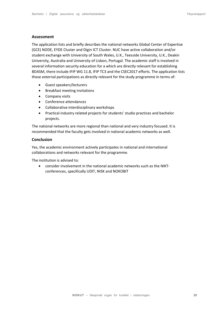#### **Assessment**

The application lists and briefly describes the national networks Global Center of Expertise (GCE) NODE, EYDE Cluster and Digin ICT Cluster. NUC have active collaboration and/or student exchange with University of South Wales, U.K., Teesside University, U.K., Deakin University, Australia and University of Lisbon, Portugal. The academic staff is involved in several information security education for a which are directly relevant for establishing BDASM, there include IFIP WG 11.8, IFIP TC3 and the CSEC2017 efforts. The application lists these external participations as directly relevant for the study programme in terms of:

- Guest speakers/lecturers
- Breakfast meeting invitations
- Company visits
- Conference attendances
- Collaborative interdisciplinary workshops
- Practical industry related projects for students' studio practices and bachelor projects.

The national networks are more regional than national and very industry focused. It is recommended that the faculty gets involved in national academic networks as well.

#### **Conclusion**

Yes, the academic environment actively participates in national and international collaborations and networks relevant for the programme.

The institution is advised to:

• consider involvement in the national academic networks such as the NIKTconferences, specifically UDIT, NISK and NOKOBIT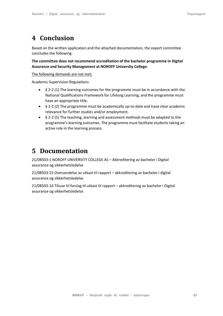# <span id="page-20-0"></span>**4 Conclusion**

Based on the written application and the attached documentation, the expert committee concludes the following:

**The committee does not recommend accreditation of the bachelor programme in Digital Assurance and Security Management at NOROFF University College.**

The following demands are not met:

Academic Supervision Regulations

- § 2-2 (1) The learning outcomes for the programme must be in accordance with the National Qualifications Framework for Lifelong Learning, and the programme must have an appropriate title.
- § 2-2 (2) The programme must be academically up-to-date and have clear academic relevance for further studies and/or employment.
- § 2-2 (5) The teaching, learning and assessment methods must be adapted to the programme's learning outcomes. The programme must facilitate students taking an active role in the learning process.

# <span id="page-20-1"></span>**5 Documentation**

21/08503-1 NOROFF UNIVERSITY COLLEGE AS – Akkreditering av bachelor i Digital assurance og sikkerhetsledelse

21/08503-15 Oversendelse av utkast til rapport – akkreditering av bachelor i digital assurance og sikkerhetsledelse

21/08503-16 Tilsvar til forslag til utkast til rapport – akkreditering av bachelor i Digital assurance og sikkerhetsledelse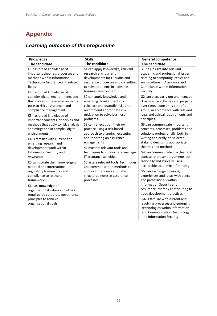# <span id="page-21-0"></span>**Appendix**

# *Learning outcome of the programme*

| Knowledge:                                                                                                                                                                                                                                                                                                                                                                   | Skills:                                                                                                                                                                                                                                                                                                                                                                                           | <b>General competence:</b>                                                                                                                                                                                                                                                                                                               |  |
|------------------------------------------------------------------------------------------------------------------------------------------------------------------------------------------------------------------------------------------------------------------------------------------------------------------------------------------------------------------------------|---------------------------------------------------------------------------------------------------------------------------------------------------------------------------------------------------------------------------------------------------------------------------------------------------------------------------------------------------------------------------------------------------|------------------------------------------------------------------------------------------------------------------------------------------------------------------------------------------------------------------------------------------------------------------------------------------------------------------------------------------|--|
| The candidate                                                                                                                                                                                                                                                                                                                                                                | The candidate                                                                                                                                                                                                                                                                                                                                                                                     | The candidate                                                                                                                                                                                                                                                                                                                            |  |
| K1 has broad knowledge of<br>important theories, processes and<br>methods within Information<br>Technology Assurance and related<br>fields<br>K2 has broad knowledge of<br>complex digital environments and<br>the problems these environments<br>pose to risk-, assurance-, and<br>compliance management<br>K3 has broad knowledge of<br>important concepts, principles and | S1 can apply knowledge, relevant<br>research and current<br>developments for IT audits and<br>assurance processes and consulting<br>to solve problems in a diverse<br>business environment                                                                                                                                                                                                        | G1 has insight into relevant<br>academic and professional issues<br>relating to computing, ethics and<br>socio-culture in Assurance and<br>Compliance within Information<br>Security                                                                                                                                                     |  |
|                                                                                                                                                                                                                                                                                                                                                                              | S2 can apply knowledge and<br>emerging developments to<br>calculate and quantify risks and<br>recommend appropriate risk<br>mitigation to solve business<br>problems                                                                                                                                                                                                                              | G2 can plan, carry out and manage<br>IT assurance activities and projects<br>over time, alone or as part of a<br>group, in accordance with relevant<br>legal and ethical requirements and<br>principles                                                                                                                                  |  |
| methods that apply to risk analysis<br>and mitigation in complex digital<br>environments.<br>K4 is familiar with current and<br>emerging research and<br>development work within                                                                                                                                                                                             | S3 can reflect upon their own<br>practice using a risk-based<br>approach to planning, executing<br>and reporting on assurance<br>engagements<br>S4 masters relevant tools and<br>techniques to conduct and manage<br>IT assurance activities<br>S5 asters relevant tools, techniques<br>and communication methods to<br>conduct interviews and take<br>structured notes in assurance<br>processes | G3 can communicate important<br>concepts, processes, problems and<br>solutions professionally, both in<br>writing and orally, to selected<br>stakeholders using appropriate<br>theories and methods                                                                                                                                      |  |
| Information Security and<br>Assurance                                                                                                                                                                                                                                                                                                                                        |                                                                                                                                                                                                                                                                                                                                                                                                   | G4 can communicate in a clear and<br>concise to present arguments both<br>rationally and logically using<br>acceptable academic referencing<br>G5 can exchange opinions,<br>experiences and ideas with peers<br>and professionals within<br>Information Security and<br>Assurance, thereby contributing to<br>good development practices |  |
| K5 can update their knowledge of<br>national and international<br>regulatory frameworks and<br>compliance to relevant<br>frameworks<br>K6 has knowledge of<br>organisational values and ethics                                                                                                                                                                               |                                                                                                                                                                                                                                                                                                                                                                                                   |                                                                                                                                                                                                                                                                                                                                          |  |
| required by corporate governance<br>principles to achieve<br>organisational goals                                                                                                                                                                                                                                                                                            |                                                                                                                                                                                                                                                                                                                                                                                                   | G6 is familiar with current and<br>evolving processes and emerging<br>technologies within Information<br>and Communication Technology<br>and Information Security                                                                                                                                                                        |  |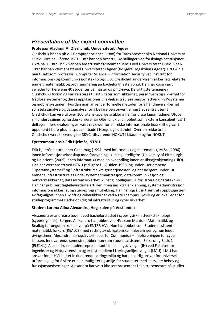### <span id="page-22-0"></span>*Presentation of the expert committee*

#### **Professor Vladimir A. Oleshchuk, Universitetet i Agder**

Oleshchuk har en ph.d. i Computer Science (1988) fra Taras Shevchenko National University i Kiev, Ukraina. I årene 1981-1987 har han besatt ulike stillinger ved forskningsinstitusjoner i Ukraina. I 1987–1992 var han ansatt som førsteamanuensis ved Universitetet i Kiev. Siden 1992 har han vært ansatt ved Universitetet i Agder (tidligere Høgskolen i Agder). I 2004 ble han tilsatt som professor i Computer Science – information security ved Institutt for informasjons- og kommunikasjonsteknologi, UiA. Oleshchuk underviser i sikkerhetsrelaterte emner, matematikk og programmering på bachelor/master/ph.d. Han har også vært veileder for flere enn 40 studenter på master og ph.d-nivå. De viktigste temaene i Oleshchuks forskning kan relateres til aktiviteter som sikkerhet, personvern og sikkerhet for trådløse systemer og deres applikasjoner til e-helse, trådløse sensornettverk, P2P-systemer og mobile systemer. Hvordan man anvender formelle metoder for å håndheve sikkerhet som tekstanalyse og dataanalyse for å bevare personvern er også et sentralt tema. Oleshchuk kan vise til over 100 vitenskapelige artikler innenfor disse fagområdene. Utover sin undervisnings og forskerkarriere har Oleshchuk bl.a. jobbet som ekstern konsulent, vært deltager i flere evalueringer, vært reviewer for en rekke internasjonale tidsskrift og vært opponent i flere ph.d. disputaser både i Norge og i utlandet. Over en rekke år har Oleshchuk vært sakkyndig for SKVC (tilsvarende NOKUT i Litauen) og for NOKUT.

#### **Førsteamanuensis Erik Hjelmås, NTNU**

Erik Hjelmås er utdannet Cand.mag (1994) med informatikk og matematikk, M.Sc. (1996) innen informasjonsvitenskap med fordypning i kunstig intelligens (University of Pittsburgh) og Dr. scient. (2005) innen informatikk med en avhandling innen ansiktsgjenkjenning (UiO). Han har vært ansatt ved NTNU (tidligere HiG) siden 1996, og underviser emnene "Operativsystemer" og "Infrastruktur: sikre grunntjenester" og har tidligere undervist emnene Infrastructure as Code, systemadministrasjon, datakommunikasjon og nettverkssikkerhet, datasystemsikkerhet, kunstig intelligens, IT for lærere og datateknikk. Han har publisert fagfellevurderte artikler innen ansiktsgjenkjenning, systemadministrasjon, informasjonssikkerhet og studieprogramutvikling. Han har også vært sentral i oppbyggingen av fagmiljøet innen IT-drift og cybersikkerhet ved NTNU campus Gjøvik og er lokal leder for studieprogrammet Bachelor i digital infrastruktur og cybersikkerhet.

#### **Student Lorena Alina Alexandru, Høgskulen på Vestlandet**

Alexandru er andreårsstudent ved bachelorstudiet i cyberfysisk nettverksteknologi (cyberingeniør), Bergen. Alexandru har jobbet ved HVL som Mentor i Matematikk og Realfag for ungdomskoleelever på ENT3R HVL. Hun har jobbet som Studentassistent i matematikk forkurs (REAL02) med retting av obligatoriske innleveringer og hun ledet øvingstimer. Alexandru har også vært leder for Communica – linjeforeningen for cyber klassen. Inneværende semester jobber hun som studentassistent i Elektrofag Basis 1 (ELE141). Alexandru er studentrepresentant i Innstillingsutvalget (IN) ved Fakultet for Ingeniører og Naturvitenskap og er fast medlem i Læringsmiljøutvalget (LMU). LMU har ansvar for at HVL har et inkluderende læringsmiljø og har et særlig ansvar for universell utforming og for å sikre et best mulig læringsmiljø for studenter med særskilte behov og funksjonsnedsettinger. Alexandru har vært klasserepresentant i alle tre semestre på studiet